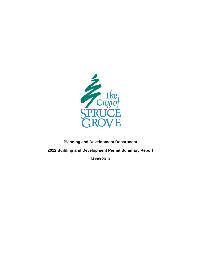

## **Planning and Development Department**

<span id="page-0-0"></span>**2012 Building and Development Permit Summary Report**

March 2013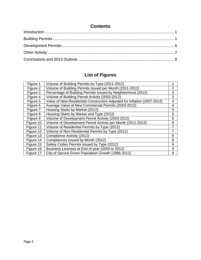| <b>Contents</b> |  |
|-----------------|--|
|                 |  |
|                 |  |
|                 |  |
|                 |  |
|                 |  |

# **List of Figures**

| Volume of Building Permits by Type (2011-2012)                           | 1              |
|--------------------------------------------------------------------------|----------------|
| Volume of Building Permits Issued per Month (2011-2012)                  | $\overline{2}$ |
| Percentage of Building Permits Issued by Neighborhood (2012)             | 3              |
| Volume of Building Permit Activity (2003-2012)                           | 3              |
| Value of New Residential Construction Adjusted for Inflation (2007-2012) | $\overline{4}$ |
| Average Value of New Commercial Permits (2003-2012)                      | 4              |
| Housing Starts by Market (2012)                                          | 5              |
| Housing Starts by Market and Type (2012)                                 | 5              |
| Volume of Development Permit Activity (2003-2012)                        | 6              |
| Volume of Development Permit Activity per Month (2011-2012)              | 6              |
| Volume of Residential Permits by Type (2012)                             | $\overline{7}$ |
| Volume of Non-Residential Permits by Type (2012)                         | $\overline{7}$ |
| Compliance Activity (2012)                                               | 8              |
| Compliances Issued by Month (2012)                                       | 8              |
| Safety Codes Permits Issued by Type (2012)                               | 8              |
| Business Licenses at End of year (2003 to 2012)                          | 9              |
| City of Spruce Grove Population Growth (1986-2011)                       | 9              |
|                                                                          |                |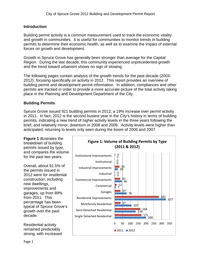#### <span id="page-2-0"></span>**Introduction**

Building permit activity is a common measurement used to track the economic vitality and growth in communities. It is useful for communities to monitor trends in building permits to determine their economic health, as well as to examine the impact of external forces on growth and development.

Growth in Spruce Grove has generally been stronger than average for the Capital Region. During the last decade, this community experienced unprecedented growth and the trend toward urbanism shows no sign of slowing.

The following pages contain analysis of the growth trends for the past decade (2003- 2012), focusing specifically on activity in 2012. This report provides an overview of building permit and development permit information. In addition, compliances and other permits are tracked in order to provide a more accurate picture of the total activity taking place in the Planning and Development Department of the City.

#### <span id="page-2-1"></span>**Building Permits**

Spruce Grove issued 921 building permits in 2012, a 19% increase over permit activity in 2011. In fact, 2012 is the second busiest year in the City's history in terms of building permits, indicating a new trend of higher activity levels in the three years following the brief, and relatively minor, downturn in 2008 and 2009. Activity levels were higher than anticipated, returning to levels only seen during the boom of 2006 and 2007.

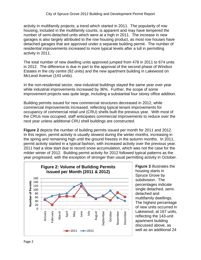activity in multifamily projects; a trend which started in 2011. The popularity of row housing, included in the multifamily counts, is apparent and may have tempered the number of semi-detached units which were at a high in 2011. The increase in new garages is also largely attributed to the row housing product, as most row houses have detached garages that are approved under a separate building permit. The number of residential improvements increased to more typical levels after a lull in permitting activity in 2011.

The total number of new dwelling units approved jumped from 478 in 2011 to 674 units in 2012. The difference is due in part to the approval of the second phase of Windsor Estates in the city centre (92 units) and the new apartment building in Lakewood on McLeod Avenue (143 units).

In the non-residential sector, new industrial buildings stayed the same year over year while industrial improvements increased by 36%. Further, the scope of some improvement projects was quite large, including a substantial four storey office addition.

Building permits issued for new commercial structures decreased in 2012, while commercial improvements increased, reflecting typical tenant improvements for occupancy of commercial retail unit (CRU) shells built the previous year. With most of the CRUs now occupied, staff anticipates commercial improvements to reduce over the next year unless additional CRU shell buildings are constructed.

**Figure 2** depicts the number of building permits issued per month for 2011 and 2012. In this region, permit activity is usually slowest during the winter months, increasing in the spring and remaining high until the ground freezes in the autumn months. In 2011, permit activity started in a typical fashion, with increased activity over the previous year. 2011 had a slow start due to record snow accumulation, which was not the case for the milder winter of 2012. Building permit activity for 2012 followed typical patterns as the year progressed, with the exception of stronger than usual permitting activity in October.



**Figure 3** illustrates the housing starts in Spruce Grove by subdivision. The percentages indicate single detached, semidetached and multifamily dwellings. The highest percentage of new units occurred in Lakewood, at 167 units, reflecting the 143-unit apartment building discussed above, as well as an additional 24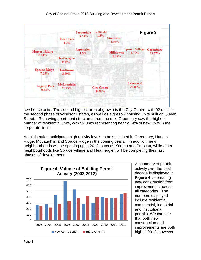

row house units. The second highest area of growth is the City Centre, with 92 units in the second phase of Windsor Estates, as well as eight row housing units built on Queen Street. Removing apartment structures from the mix, Greenbury saw the highest number of residential units, with 92 units representing nearly 14% of new units in the corporate limits.

Administration anticipates high activity levels to be sustained in Greenbury, Harvest Ridge, McLaughlin and Spruce Ridge in the coming years. In addition, new neighbourhoods will be opening up in 2013, such as Kenton and Prescott, while other neighbourhoods like Spruce Village and Heatherglen will be completing their last phases of development.



A summary of permit activity over the past decade is displayed in **Figure 4**, separating new construction from improvements across all categories. The numbers displayed include residential, commercial, industrial and institutional permits. We can see that both new construction and improvements are both high in 2012; however,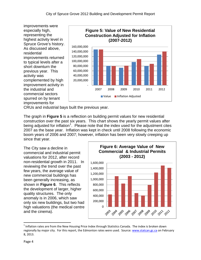improvements were especially high, representing the highest activity level in Spruce Grove's history. As discussed above, residential improvements returned to typical levels after a short downturn the previous year. This activity was complemented by high improvement activity in the industrial and commercial sectors spurred on by tenant improvements for



CRUs and industrial bays built the previous year.

The graph in **Figure 5** is a reflection on building permit values for new residential construction over the past six years. This chart shows the yearly permit values after being adjusted for inflation<sup>[1](#page-0-0)</sup>. Please note that the index used for the adjustment cites 2007 as the base year. Inflation was kept in check until 2008 following the economic boom years of 2006 and 2007; however, inflation has been very slowly creeping up since that year.

The City saw a decline in commercial and industrial permit valuations for 2012, after record non-residential growth in 2011. In reviewing the trend over the past few years, the average value of new commercial buildings has been generally increasing, as shown in **Figure 6**. This reflects the development of larger, higher quality structures. The only anomaly is in 2006, which saw only six new buildings, but two had high valuations (the medical centre and the cinema).



<span id="page-5-0"></span> $1$  Inflation rates are from the New Housing Price Index through Statistics Canada. The index is broken down regionally by major city. For this report, the Edmonton rates were used. Source[: www.statcan.gc.ca](http://www.statcan.gc.ca/) on February 8, 2013.

l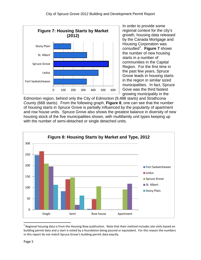

In order to provide some regional context for the city's growth, housing data released by the Canada Mortgage and Housing Corporation was consulted[2](#page-5-0) . **Figure 7** shows the number of new housing starts in a number of communities in the Capital Region. For the first time in the past few years, Spruce Grove leads in housing starts in the region in similar sized municipalities. In fact, Spruce Gove was the third fastest growing municipality in the

Edmonton region, behind only the City of Edmonton (9,488 starts) and Strathcona County (668 starts). From the following graph, **Figure 8**, one can see that the number of housing starts in Spruce Grove is partially influenced by the popularity of apartment and row house units. Spruce Grove also shows the greatest balance in diversity of new housing stock of the five municipalities shown, with multifamily unit types keeping up with the number of semi-detached or single detached units.



 $2$  Regional housing data is from the Housing Now publication. Note that their method includes site visits based on building permit data and a start is noted by a foundation being poured or equivalent. For this reason the numbers in this report do not match Spruce Grove's building permit data exactly.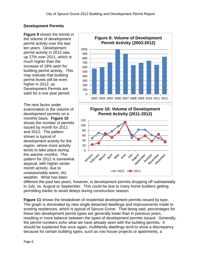## <span id="page-7-0"></span>**Development Permits**

**Figure 9** shows the trends in the volume of development permit activity over the last ten years. Development permit activity in 2012 was up 27% over 2011, which is much higher than the increase of 18% seen for building permit activity. This may indicate that building permit levels will be even higher in 2012, as Development Permits are valid for a one year period.

The next factor under examination is the volume of development permits on a monthly basis. **Figure 10** shows the number of permits issued by month for 2011 and 2012. The pattern shown is typical of development activity for the region, where more activity tends to take place during the warmer months. The pattern for 2012 is somewhat atypical, with higher winter month activity, due to unseasonably warm, dry weather. What has been



different the past two years, however, is development permits dropping off substantially in July, vs. August or September. This could be due to many home builders getting permitting earlier to avoid delays during construction season.

**Figure 11** shows the breakdown of residential development permits issued by type. The graph is dominated by new single detached dwellings and improvements made to existing residences, which is typical of Spruce Grove. That being said, percentages for these two development permit types are generally lower than in previous years, resulting in more balance between the types of development permits issued. Generally, the permit numbers echo what we have already seen with the building permits. It should be explained that once again, multifamily dwellings tend to show a discrepancy because for certain building types, such as row house projects or apartments, a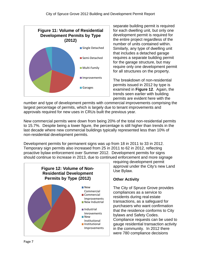

separate building permit is required for each dwelling unit, but only one development permit is required for the entire project regardless of the number of units contained within. Similarly, any type of dwelling unit that includes a detached garage requires a separate building permit for the garage structure, but may require only one development permit for all structures on the property.

The breakdown of non-residential permits issued in 2012 by type is examined in **Figure 12**. Again, the trends seen earlier with building permits are evident here with the

number and type of development permits with commercial improvements comprising the largest percentage of permits, which is largely due to tenant improvements and approvals required for new uses in CRUs built the previous year.

New commercial permits were down from being 20% of the total non-residential permits to 15.7%. Despite being a lower figure, the percentage is still higher than trends in the last decade where new commercial buildings typically represented less than 10% of non-residential development permits.

Development permits for permanent signs was up from 18 in 2011 to 33 in 2012. Temporary sign permits also increased from 25 in 2011 to 62 in 2012, reflecting proactive bylaw enforcement over Summer 2012. Development permits for signs should continue to increase in 2013, due to continued enforcement and more signage



requiring development permit approval under the City's new Land Use Bylaw.

### <span id="page-8-0"></span>**Other Activity**

The City of Spruce Grove provides compliances as a service to residents during real estate transactions, as a safeguard for purchasers who want confirmation that the residence conforms to City bylaws and Safety Codes. Compliance requests can be used to gauge residential transaction activity in the community. In 2012 there were 780 compliance decisions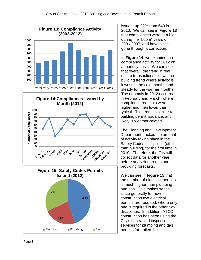





issued, up 22% from 640 in 2010. We can see in **Figure 13** that compliances were at a high during the "boom" years of 2006-2007, and have since gone through a correction.

In **Figure 14**, we examine the compliance activity for 2012 on a monthly basis. We can see that overall, the trend in real estate transactions follows the building trend where activity is lowest in the cold months and steady for the warmer months. The anomaly in 2012 occurred in February and March, where compliance requests were higher and then lower than typical. This trend is similar to building permit issuance, and likely is weather-related.

The Planning and Development Department tracked the amount of activity taking place in the Safety Codes disciplines (other than building) for the first time in 2010. Therefore, the City will collect data for another year before analyzing trends and providing forecasts.

We can see in **Figure 15** that the number of electrical permits is much higher than plumbing and gas. This makes sense since generally for new construction two electrical permits are required, where only one is required in the other two disciplines. In addition, ATCO construction has been using the City's contracted inspection services for plumbing and gas permits for trailers built in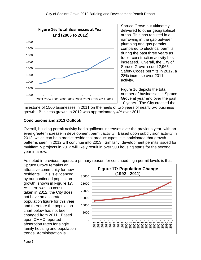

Spruce Grove but ultimately delivered to other geographical areas. This has resulted in a narrowing in the gap between plumbing and gas permits compared to electrical permits during the past three years as trailer construction activity has increased. Overall, the City of Spruce Grove issued 2,965 Safety Codes permits in 2012, a 28% increase over 2011 activity.

Figure 16 depicts the total number of businesses in Spruce Grove at year end over the past 10 years. The City crossed the

milestone of 1500 businesses in 2011 on the heels of two years of nearly 5% business growth. Business growth in 2012 was approximately 4% over 2011.

## <span id="page-10-0"></span>**Conclusions and 2013 Outlook**

Overall, building permit activity had significant increases over the previous year, with an even greater increase in development permit activity. Based upon subdivision activity in 2012, which can help predict residential product types, it is anticipated that growth patterns seen in 2012 will continue into 2013. Similarly, development permits issued for multifamily projects in 2012 will likely result in over 500 housing starts for the second year in a row.

As noted in previous reports, a primary reason for continued high permit levels is that

Spruce Grove remains an attractive community for new residents. This is evidenced by our continued population growth, shown in **Figure 17**. As there was no census taken in 2012, the City does not have an accurate population figure for this year and therefore the population chart below has not been changed from 2011. Based upon CMHC reported absorption rates for single family housing and population trends, Administration is